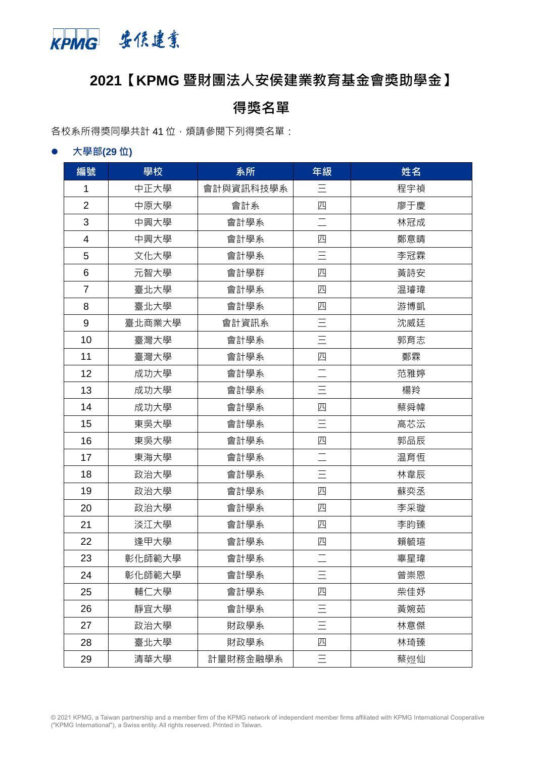

## **【KPMG 暨財團法人安侯建業教育基金會獎助學金】**

### **得獎名單**

各校系所得獎同學共計 41 位,煩請參閱下列得獎名單:

⚫ **大學部(29 位)**

| 編號             | 學校     | 系所        | 年級                       | 姓名  |
|----------------|--------|-----------|--------------------------|-----|
| 1              | 中正大學   | 會計與資訊科技學系 | 三                        | 程宇禎 |
| $\overline{2}$ | 中原大學   | 會計系       | 四                        | 廖于慶 |
| 3              | 中興大學   | 會計學系      |                          | 林冠成 |
| 4              | 中興大學   | 會計學系      | 四                        | 鄭意晴 |
| 5              | 文化大學   | 會計學系      | $\equiv$                 | 李冠霖 |
| 6              | 元智大學   | 會計學群      | 四                        | 黃詩安 |
| $\overline{7}$ | 臺北大學   | 會計學系      | 四                        | 温璿瑋 |
| 8              | 臺北大學   | 會計學系      | 四                        | 游博凱 |
| 9              | 臺北商業大學 | 會計資訊系     | $\equiv$                 | 沈威廷 |
| 10             | 臺灣大學   | 會計學系      | $\equiv$                 | 郭育志 |
| 11             | 臺灣大學   | 會計學系      | 四                        | 鄭霖  |
| 12             | 成功大學   | 會計學系      |                          | 范雅婷 |
| 13             | 成功大學   | 會計學系      | $\equiv$                 | 楊羚  |
| 14             | 成功大學   | 會計學系      | 四                        | 蔡舜幃 |
| 15             | 東吳大學   | 會計學系      | $\equiv$                 | 高芯沄 |
| 16             | 東吳大學   | 會計學系      | 四                        | 郭品辰 |
| 17             | 東海大學   | 會計學系      | $\overline{\phantom{0}}$ | 温育恆 |
| 18             | 政治大學   | 會計學系      | $\equiv$                 | 林韋辰 |
| 19             | 政治大學   | 會計學系      | 四                        | 蘇奕丞 |
| 20             | 政治大學   | 會計學系      | 四                        | 李采璇 |
| 21             | 淡江大學   | 會計學系      | 四                        | 李昀臻 |
| 22             | 逢甲大學   | 會計學系      | 四                        | 賴毓瑄 |
| 23             | 彰化師範大學 | 會計學系      | $\overline{\phantom{0}}$ | 辜星瑋 |
| 24             | 彰化師範大學 | 會計學系      | 三                        | 曾崇恩 |
| 25             | 輔仁大學   | 會計學系      | 四                        | 柴佳妤 |
| 26             | 靜宜大學   | 會計學系      | $\equiv$                 | 黃婉茹 |
| 27             | 政治大學   | 財政學系      | $\equiv$                 | 林意傑 |
| 28             | 臺北大學   | 財政學系      | 四                        | 林琦臻 |
| 29             | 清華大學   | 計量財務金融學系  | $\equiv$                 | 蔡煜仙 |

© 2021 KPMG, a Taiwan partnership and a member firm of the KPMG network of independent member firms affiliated with KPMG International Cooperative ("KPMG International"), a Swiss entity. All rights reserved. Printed in Taiwan.